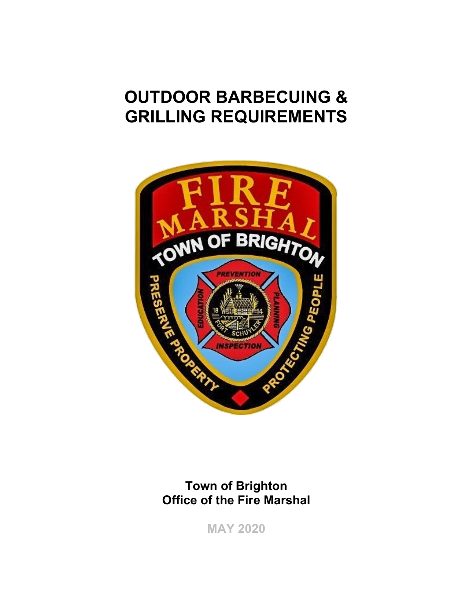# **OUTDOOR BARBECUING & GRILLING REQUIREMENTS**



**Town of Brighton Office of the Fire Marshal** 

**MAY 2020**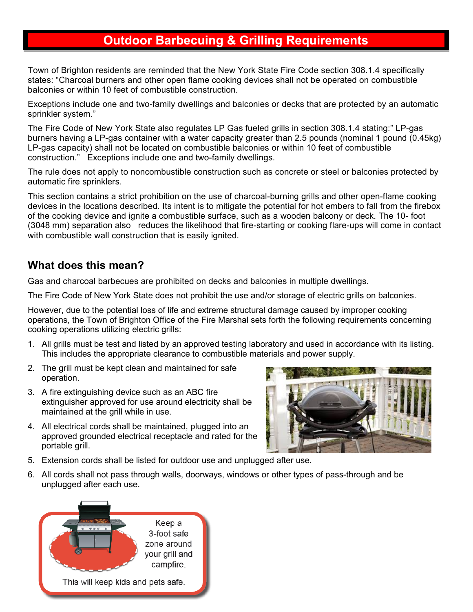## **Outdoor Barbecuing & Grilling Requirements**

Town of Brighton residents are reminded that the New York State Fire Code section 308.1.4 specifically states: "Charcoal burners and other open flame cooking devices shall not be operated on combustible balconies or within 10 feet of combustible construction.

Exceptions include one and two-family dwellings and balconies or decks that are protected by an automatic sprinkler system."

The Fire Code of New York State also regulates LP Gas fueled grills in section 308.1.4 stating:" LP-gas burners having a LP-gas container with a water capacity greater than 2.5 pounds (nominal 1 pound (0.45kg) LP-gas capacity) shall not be located on combustible balconies or within 10 feet of combustible construction." Exceptions include one and two-family dwellings.

The rule does not apply to noncombustible construction such as concrete or steel or balconies protected by automatic fire sprinklers.

This section contains a strict prohibition on the use of charcoal-burning grills and other open-flame cooking devices in the locations described. Its intent is to mitigate the potential for hot embers to fall from the firebox of the cooking device and ignite a combustible surface, such as a wooden balcony or deck. The 10- foot (3048 mm) separation also reduces the likelihood that fire-starting or cooking flare-ups will come in contact with combustible wall construction that is easily ignited.

#### **What does this mean?**

Gas and charcoal barbecues are prohibited on decks and balconies in multiple dwellings.

The Fire Code of New York State does not prohibit the use and/or storage of electric grills on balconies.

However, due to the potential loss of life and extreme structural damage caused by improper cooking operations, the Town of Brighton Office of the Fire Marshal sets forth the following requirements concerning cooking operations utilizing electric grills:

- 1. All grills must be test and listed by an approved testing laboratory and used in accordance with its listing. This includes the appropriate clearance to combustible materials and power supply.
- 2. The grill must be kept clean and maintained for safe operation.
- 3. A fire extinguishing device such as an ABC fire extinguisher approved for use around electricity shall be maintained at the grill while in use.
- 4. All electrical cords shall be maintained, plugged into an approved grounded electrical receptacle and rated for the portable grill.



- 5. Extension cords shall be listed for outdoor use and unplugged after use.
- 6. All cords shall not pass through walls, doorways, windows or other types of pass-through and be unplugged after each use.